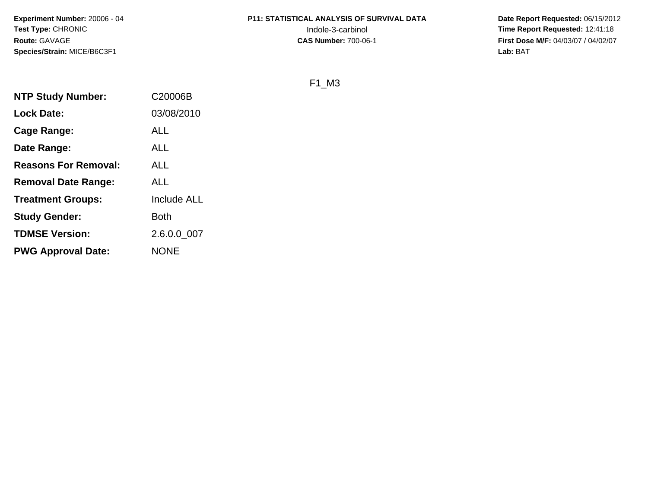**Experiment Number:** 20006 - 04**Test Type:** CHRONIC**Route:** GAVAGE**Species/Strain:** MICE/B6C3F1

# **P11: STATISTICAL ANALYSIS OF SURVIVAL DATA**

 **Date Report Requested:** 06/15/2012 Indole-3-carbinol **Time Report Requested:** 12:41:18 **First Dose M/F:** 04/03/07 / 04/02/07<br>Lab: BAT **Lab:** BAT

F1\_M3

| <b>NTP Study Number:</b>    | C20006B            |
|-----------------------------|--------------------|
| <b>Lock Date:</b>           | 03/08/2010         |
| <b>Cage Range:</b>          | <b>ALL</b>         |
| Date Range:                 | <b>ALL</b>         |
| <b>Reasons For Removal:</b> | <b>ALL</b>         |
| <b>Removal Date Range:</b>  | <b>ALL</b>         |
| <b>Treatment Groups:</b>    | <b>Include ALL</b> |
| <b>Study Gender:</b>        | Both               |
| <b>TDMSE Version:</b>       | 2.6.0.0_007        |
| <b>PWG Approval Date:</b>   | <b>NONE</b>        |
|                             |                    |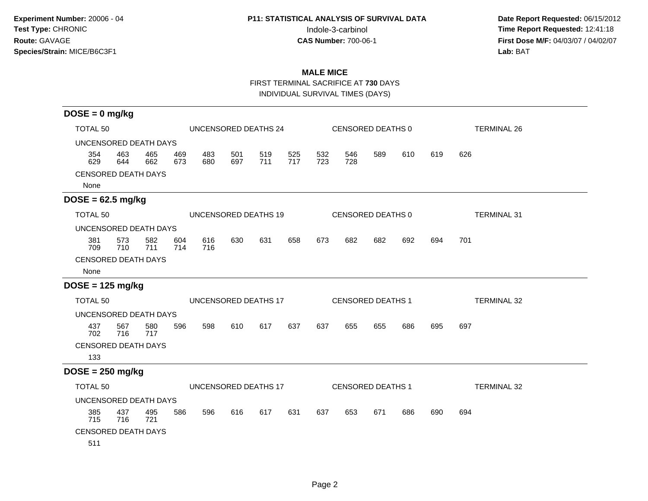**Date Report Requested:** 06/15/2012 Indole-3-carbinol **Time Report Requested:** 12:41:18 **First Dose M/F:** 04/03/07 / 04/02/07<br>Lab: BAT **Lab:** BAT

## **MALE MICE**

FIRST TERMINAL SACRIFICE AT **730** DAYS

INDIVIDUAL SURVIVAL TIMES (DAYS)

| $DOSE = 0$ mg/kg           |                                             |            |            |                      |            |            |            |                   |            |                          |     |     |                    |  |  |
|----------------------------|---------------------------------------------|------------|------------|----------------------|------------|------------|------------|-------------------|------------|--------------------------|-----|-----|--------------------|--|--|
|                            | TOTAL <sub>50</sub><br>UNCENSORED DEATHS 24 |            |            |                      |            |            |            | CENSORED DEATHS 0 |            | <b>TERMINAL 26</b>       |     |     |                    |  |  |
| UNCENSORED DEATH DAYS      |                                             |            |            |                      |            |            |            |                   |            |                          |     |     |                    |  |  |
| 354<br>629                 | 463<br>644                                  | 465<br>662 | 469<br>673 | 483<br>680           | 501<br>697 | 519<br>711 | 525<br>717 | 532<br>723        | 546<br>728 | 589                      | 610 | 619 | 626                |  |  |
| <b>CENSORED DEATH DAYS</b> |                                             |            |            |                      |            |            |            |                   |            |                          |     |     |                    |  |  |
| None                       |                                             |            |            |                      |            |            |            |                   |            |                          |     |     |                    |  |  |
| $DOSE = 62.5$ mg/kg        |                                             |            |            |                      |            |            |            |                   |            |                          |     |     |                    |  |  |
| <b>TOTAL 50</b>            |                                             |            |            | UNCENSORED DEATHS 19 |            |            |            |                   |            | CENSORED DEATHS 0        |     |     | <b>TERMINAL 31</b> |  |  |
| UNCENSORED DEATH DAYS      |                                             |            |            |                      |            |            |            |                   |            |                          |     |     |                    |  |  |
| 381<br>709                 | 573<br>710                                  | 582<br>711 | 604<br>714 | 616<br>716           | 630        | 631        | 658        | 673               | 682        | 682                      | 692 | 694 | 701                |  |  |
| <b>CENSORED DEATH DAYS</b> |                                             |            |            |                      |            |            |            |                   |            |                          |     |     |                    |  |  |
| None                       |                                             |            |            |                      |            |            |            |                   |            |                          |     |     |                    |  |  |
| $DOSE = 125$ mg/kg         |                                             |            |            |                      |            |            |            |                   |            |                          |     |     |                    |  |  |
| TOTAL <sub>50</sub>        |                                             |            |            | UNCENSORED DEATHS 17 |            |            |            |                   |            | <b>CENSORED DEATHS 1</b> |     |     | <b>TERMINAL 32</b> |  |  |
| UNCENSORED DEATH DAYS      |                                             |            |            |                      |            |            |            |                   |            |                          |     |     |                    |  |  |
| 437<br>702                 | 567<br>716                                  | 580<br>717 | 596        | 598                  | 610        | 617        | 637        | 637               | 655        | 655                      | 686 | 695 | 697                |  |  |
| <b>CENSORED DEATH DAYS</b> |                                             |            |            |                      |            |            |            |                   |            |                          |     |     |                    |  |  |
| 133                        |                                             |            |            |                      |            |            |            |                   |            |                          |     |     |                    |  |  |
| $DOSE = 250$ mg/kg         |                                             |            |            |                      |            |            |            |                   |            |                          |     |     |                    |  |  |
| <b>TOTAL 50</b>            |                                             |            |            | UNCENSORED DEATHS 17 |            |            |            |                   |            | <b>CENSORED DEATHS 1</b> |     |     | <b>TERMINAL 32</b> |  |  |
| UNCENSORED DEATH DAYS      |                                             |            |            |                      |            |            |            |                   |            |                          |     |     |                    |  |  |
| 385<br>715                 | 437<br>716                                  | 495<br>721 | 586        | 596                  | 616        | 617        | 631        | 637               | 653        | 671                      | 686 | 690 | 694                |  |  |
| <b>CENSORED DEATH DAYS</b> |                                             |            |            |                      |            |            |            |                   |            |                          |     |     |                    |  |  |
| 511                        |                                             |            |            |                      |            |            |            |                   |            |                          |     |     |                    |  |  |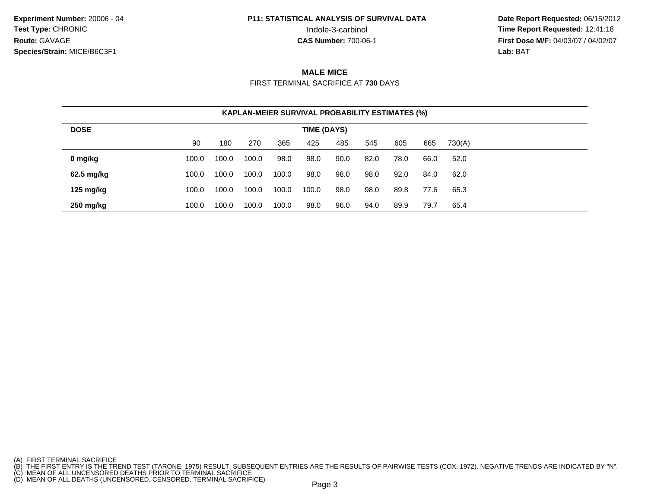**Date Report Requested:** 06/15/2012 Indole-3-carbinol **Time Report Requested:** 12:41:18 **First Dose M/F:** 04/03/07 / 04/02/07<br>**Lab:** BAT **Lab:** BAT

### **MALE MICE**

FIRST TERMINAL SACRIFICE AT **730** DAYS

| <b>KAPLAN-MEIER SURVIVAL PROBABILITY ESTIMATES (%)</b> |             |       |       |       |       |      |      |      |      |        |  |  |
|--------------------------------------------------------|-------------|-------|-------|-------|-------|------|------|------|------|--------|--|--|
| <b>DOSE</b>                                            | TIME (DAYS) |       |       |       |       |      |      |      |      |        |  |  |
|                                                        | 90          | 180   | 270   | 365   | 425   | 485  | 545  | 605  | 665  | 730(A) |  |  |
| 0 mg/kg                                                | 100.0       | 100.0 | 100.0 | 98.0  | 98.0  | 90.0 | 82.0 | 78.0 | 66.0 | 52.0   |  |  |
| 62.5 mg/kg                                             | 100.0       | 100.0 | 100.0 | 100.0 | 98.0  | 98.0 | 98.0 | 92.0 | 84.0 | 62.0   |  |  |
| 125 mg/kg                                              | 100.0       | 100.0 | 100.0 | 100.0 | 100.0 | 98.0 | 98.0 | 89.8 | 77.6 | 65.3   |  |  |
| 250 mg/kg                                              | 100.0       | 100.0 | 100.0 | 100.0 | 98.0  | 96.0 | 94.0 | 89.9 | 79.7 | 65.4   |  |  |

<sup>(</sup>A) FIRST TERMINAL SACRIFICE<br>(B) THE FIRST ENTRY IS THE TREND TEST (TARONE, 1975) RESULT. SUBSEQUENT ENTRIES ARE THE RESULTS OF PAIRWISE TESTS (COX, 1972). NEGATIVE TRENDS ARE INDICATED BY "N".<br>(C) MEAN OF ALL UNCENSORED D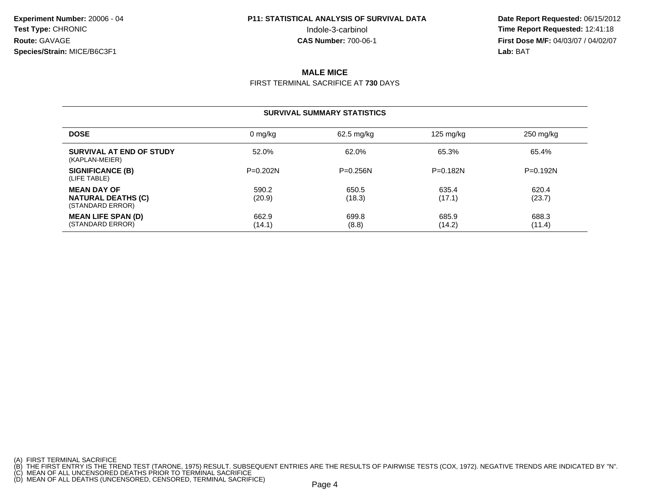**Date Report Requested:** 06/15/2012 Indole-3-carbinol **Time Report Requested:** 12:41:18 **First Dose M/F:** 04/03/07 / 04/02/07<br>**Lab:** BAT **Lab:** BAT

### **MALE MICE**

FIRST TERMINAL SACRIFICE AT **730** DAYS

#### **SURVIVAL SUMMARY STATISTICS**

| <b>DOSE</b>                                                         | 0 mg/kg         | 62.5 mg/kg      | $125 \text{ mg/kg}$ | $250 \text{ mg/kg}$ |
|---------------------------------------------------------------------|-----------------|-----------------|---------------------|---------------------|
| SURVIVAL AT END OF STUDY<br>(KAPLAN-MEIER)                          | 52.0%           | 62.0%           | 65.3%               | 65.4%               |
| SIGNIFICANCE (B)<br>(LIFE TABLE)                                    | $P = 0.202N$    | $P = 0.256N$    | $P = 0.182N$        | $P=0.192N$          |
| <b>MEAN DAY OF</b><br><b>NATURAL DEATHS (C)</b><br>(STANDARD ERROR) | 590.2<br>(20.9) | 650.5<br>(18.3) | 635.4<br>(17.1)     | 620.4<br>(23.7)     |
| <b>MEAN LIFE SPAN (D)</b><br>(STANDARD ERROR)                       | 662.9<br>(14.1) | 699.8<br>(8.8)  | 685.9<br>(14.2)     | 688.3<br>(11.4)     |

<sup>(</sup>A) FIRST TERMINAL SACRIFICE<br>(B) THE FIRST ENTRY IS THE TREND TEST (TARONE, 1975) RESULT. SUBSEQUENT ENTRIES ARE THE RESULTS OF PAIRWISE TESTS (COX, 1972). NEGATIVE TRENDS ARE INDICATED BY "N".<br>(C) MEAN OF ALL UNCENSORED D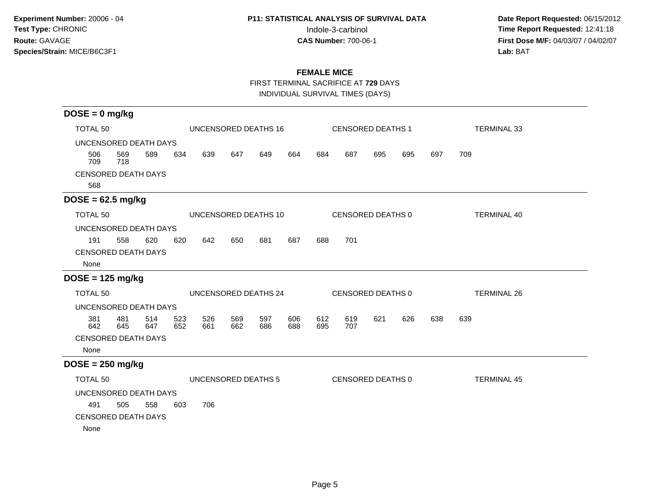**Date Report Requested:** 06/15/2012 Indole-3-carbinol **Time Report Requested:** 12:41:18 **First Dose M/F:** 04/03/07 / 04/02/07<br>Lab: BAT **Lab:** BAT

### **FEMALE MICE**

FIRST TERMINAL SACRIFICE AT **729** DAYS

INDIVIDUAL SURVIVAL TIMES (DAYS)

| $DOSE = 0$ mg/kg                 |            |            |            |            |            |                            |                          |            |                   |                    |     |     |                    |  |
|----------------------------------|------------|------------|------------|------------|------------|----------------------------|--------------------------|------------|-------------------|--------------------|-----|-----|--------------------|--|
| TOTAL 50<br>UNCENSORED DEATHS 16 |            |            |            |            |            |                            | <b>CENSORED DEATHS 1</b> |            |                   | <b>TERMINAL 33</b> |     |     |                    |  |
| UNCENSORED DEATH DAYS            |            |            |            |            |            |                            |                          |            |                   |                    |     |     |                    |  |
| 506<br>709                       | 569<br>718 | 589        | 634        | 639        | 647        | 649                        | 664                      | 684        | 687               | 695                | 695 | 697 | 709                |  |
| <b>CENSORED DEATH DAYS</b>       |            |            |            |            |            |                            |                          |            |                   |                    |     |     |                    |  |
| 568                              |            |            |            |            |            |                            |                          |            |                   |                    |     |     |                    |  |
| $DOSE = 62.5$ mg/kg              |            |            |            |            |            |                            |                          |            |                   |                    |     |     |                    |  |
| TOTAL 50                         |            |            |            |            |            | UNCENSORED DEATHS 10       |                          |            | CENSORED DEATHS 0 |                    |     |     | <b>TERMINAL 40</b> |  |
| UNCENSORED DEATH DAYS            |            |            |            |            |            |                            |                          |            |                   |                    |     |     |                    |  |
| 191                              | 558        | 620        | 620        | 642        | 650        | 681                        | 687                      | 688        | 701               |                    |     |     |                    |  |
| <b>CENSORED DEATH DAYS</b>       |            |            |            |            |            |                            |                          |            |                   |                    |     |     |                    |  |
| None                             |            |            |            |            |            |                            |                          |            |                   |                    |     |     |                    |  |
| $DOSE = 125$ mg/kg               |            |            |            |            |            |                            |                          |            |                   |                    |     |     |                    |  |
| TOTAL 50                         |            |            |            |            |            | UNCENSORED DEATHS 24       |                          |            | CENSORED DEATHS 0 |                    |     |     | <b>TERMINAL 26</b> |  |
| UNCENSORED DEATH DAYS            |            |            |            |            |            |                            |                          |            |                   |                    |     |     |                    |  |
| 381<br>642                       | 481<br>645 | 514<br>647 | 523<br>652 | 526<br>661 | 569<br>662 | 597<br>686                 | 606<br>688               | 612<br>695 | 619<br>707        | 621                | 626 | 638 | 639                |  |
| <b>CENSORED DEATH DAYS</b>       |            |            |            |            |            |                            |                          |            |                   |                    |     |     |                    |  |
| None                             |            |            |            |            |            |                            |                          |            |                   |                    |     |     |                    |  |
| $DOSE = 250$ mg/kg               |            |            |            |            |            |                            |                          |            |                   |                    |     |     |                    |  |
| TOTAL 50                         |            |            |            |            |            | <b>UNCENSORED DEATHS 5</b> |                          |            | CENSORED DEATHS 0 |                    |     |     | <b>TERMINAL 45</b> |  |
| UNCENSORED DEATH DAYS            |            |            |            |            |            |                            |                          |            |                   |                    |     |     |                    |  |
| 491                              | 505        | 558        | 603        | 706        |            |                            |                          |            |                   |                    |     |     |                    |  |
| <b>CENSORED DEATH DAYS</b>       |            |            |            |            |            |                            |                          |            |                   |                    |     |     |                    |  |
| None                             |            |            |            |            |            |                            |                          |            |                   |                    |     |     |                    |  |
|                                  |            |            |            |            |            |                            |                          |            |                   |                    |     |     |                    |  |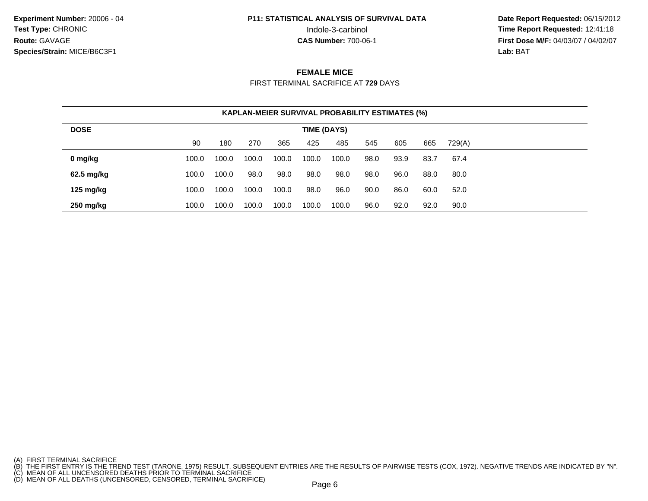**Date Report Requested:** 06/15/2012 Indole-3-carbinol **Time Report Requested:** 12:41:18 **First Dose M/F:** 04/03/07 / 04/02/07<br>**Lab:** BAT **Lab:** BAT

#### **FEMALE MICE**

FIRST TERMINAL SACRIFICE AT **729** DAYS

| <b>KAPLAN-MEIER SURVIVAL PROBABILITY ESTIMATES (%)</b> |             |       |       |       |       |       |      |      |      |        |  |  |
|--------------------------------------------------------|-------------|-------|-------|-------|-------|-------|------|------|------|--------|--|--|
| <b>DOSE</b>                                            | TIME (DAYS) |       |       |       |       |       |      |      |      |        |  |  |
|                                                        | 90          | 180   | 270   | 365   | 425   | 485   | 545  | 605  | 665  | 729(A) |  |  |
| 0 mg/kg                                                | 100.0       | 100.0 | 100.0 | 100.0 | 100.0 | 100.0 | 98.0 | 93.9 | 83.7 | 67.4   |  |  |
| 62.5 mg/kg                                             | 100.0       | 100.0 | 98.0  | 98.0  | 98.0  | 98.0  | 98.0 | 96.0 | 88.0 | 80.0   |  |  |
| 125 mg/kg                                              | 100.0       | 100.0 | 100.0 | 100.0 | 98.0  | 96.0  | 90.0 | 86.0 | 60.0 | 52.0   |  |  |
| 250 mg/kg                                              | 100.0       | 100.0 | 100.0 | 100.0 | 100.0 | 100.0 | 96.0 | 92.0 | 92.0 | 90.0   |  |  |

<sup>(</sup>A) FIRST TERMINAL SACRIFICE<br>(B) THE FIRST ENTRY IS THE TREND TEST (TARONE, 1975) RESULT. SUBSEQUENT ENTRIES ARE THE RESULTS OF PAIRWISE TESTS (COX, 1972). NEGATIVE TRENDS ARE INDICATED BY "N".<br>(C) MEAN OF ALL UNCENSORED D